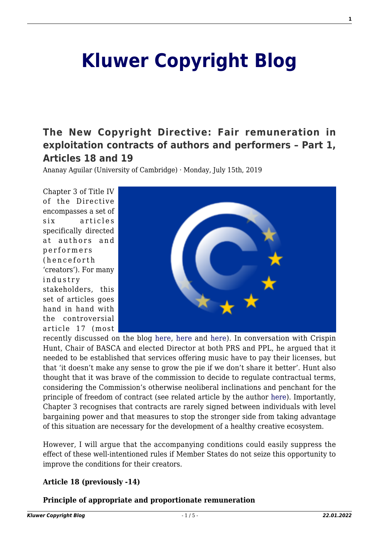# **[Kluwer Copyright Blog](http://copyrightblog.kluweriplaw.com/)**

## **[The New Copyright Directive: Fair remuneration in](http://copyrightblog.kluweriplaw.com/2019/07/15/the-new-copyright-directive-fair-remuneration-in-exploitation-contracts-of-authors-and-performers-part-1-articles-18-and-19/) [exploitation contracts of authors and performers – Part 1,](http://copyrightblog.kluweriplaw.com/2019/07/15/the-new-copyright-directive-fair-remuneration-in-exploitation-contracts-of-authors-and-performers-part-1-articles-18-and-19/) [Articles 18 and 19](http://copyrightblog.kluweriplaw.com/2019/07/15/the-new-copyright-directive-fair-remuneration-in-exploitation-contracts-of-authors-and-performers-part-1-articles-18-and-19/)**

Ananay Aguilar (University of Cambridge) · Monday, July 15th, 2019

Chapter 3 of Title IV of the Directive encompasses a set of six articles specifically directed at authors and performers (henceforth 'creators'). For many industry stakeholders, this set of articles goes hand in hand with the controversial article 17 (most



recently discussed on the blog [here,](http://copyrightblog.kluweriplaw.com/2019/06/17/the-new-copyright-directive-a-tour-dhorizon-part-ii-of-press-publishers-upload-filters-and-the-real-value-gap/) [here](http://copyrightblog.kluweriplaw.com/2019/05/20/how-to-implement-article-17-dsmd-have-your-say/) and [here\)](http://copyrightblog.kluweriplaw.com/2019/06/11/article-17-of-the-new-copyright-directive-a-french-mission-on-content-recognition-technologies/). In conversation with Crispin Hunt, Chair of BASCA and elected Director at both PRS and PPL, he argued that it needed to be established that services offering music have to pay their licenses, but that 'it doesn't make any sense to grow the pie if we don't share it better'. Hunt also thought that it was brave of the commission to decide to regulate contractual terms, considering the Commission's otherwise neoliberal inclinations and penchant for the principle of freedom of contract (see related article by the author [here](https://www.jipitec.eu/issues/jipitec-9-2-2018/4731)). Importantly, Chapter 3 recognises that contracts are rarely signed between individuals with level bargaining power and that measures to stop the stronger side from taking advantage of this situation are necessary for the development of a healthy creative ecosystem.

However, I will argue that the accompanying conditions could easily suppress the effect of these well-intentioned rules if Member States do not seize this opportunity to improve the conditions for their creators.

#### **Article 18 (previously -14)**

**Principle of appropriate and proportionate remuneration**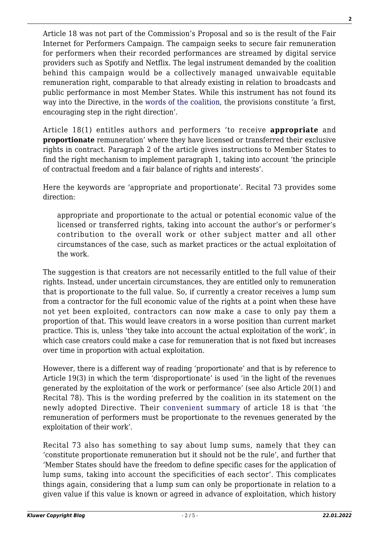Article 18 was not part of the Commission's Proposal and so is the result of the Fair Internet for Performers Campaign. The campaign seeks to secure fair remuneration for performers when their recorded performances are streamed by digital service providers such as Spotify and Netflix. The legal instrument demanded by the coalition behind this campaign would be a collectively managed unwaivable equitable remuneration right, comparable to that already existing in relation to broadcasts and public performance in most Member States. While this instrument has not found its way into the Directive, in the [words of the coalition](https://www.fair-internet.eu/eu-parliament-adopts-copyright-directive-final-text/), the provisions constitute 'a first, encouraging step in the right direction'.

Article 18(1) entitles authors and performers 'to receive **appropriate** and **proportionate** remuneration' where they have licensed or transferred their exclusive rights in contract. Paragraph 2 of the article gives instructions to Member States to find the right mechanism to implement paragraph 1, taking into account 'the principle of contractual freedom and a fair balance of rights and interests'.

Here the keywords are 'appropriate and proportionate'. Recital 73 provides some direction:

appropriate and proportionate to the actual or potential economic value of the licensed or transferred rights, taking into account the author's or performer's contribution to the overall work or other subject matter and all other circumstances of the case, such as market practices or the actual exploitation of the work.

The suggestion is that creators are not necessarily entitled to the full value of their rights. Instead, under uncertain circumstances, they are entitled only to remuneration that is proportionate to the full value. So, if currently a creator receives a lump sum from a contractor for the full economic value of the rights at a point when these have not yet been exploited, contractors can now make a case to only pay them a proportion of that. This would leave creators in a worse position than current market practice. This is, unless 'they take into account the actual exploitation of the work', in which case creators could make a case for remuneration that is not fixed but increases over time in proportion with actual exploitation.

However, there is a different way of reading 'proportionate' and that is by reference to Article 19(3) in which the term 'disproportionate' is used 'in the light of the revenues generated by the exploitation of the work or performance' (see also Article 20(1) and Recital 78). This is the wording preferred by the coalition in its statement on the newly adopted Directive. Their [convenient summary](https://www.fair-internet.eu/eu-parliament-adopts-copyright-directive-final-text/) of article 18 is that 'the remuneration of performers must be proportionate to the revenues generated by the exploitation of their work'.

Recital 73 also has something to say about lump sums, namely that they can 'constitute proportionate remuneration but it should not be the rule', and further that 'Member States should have the freedom to define specific cases for the application of lump sums, taking into account the specificities of each sector'. This complicates things again, considering that a lump sum can only be proportionate in relation to a given value if this value is known or agreed in advance of exploitation, which history

**2**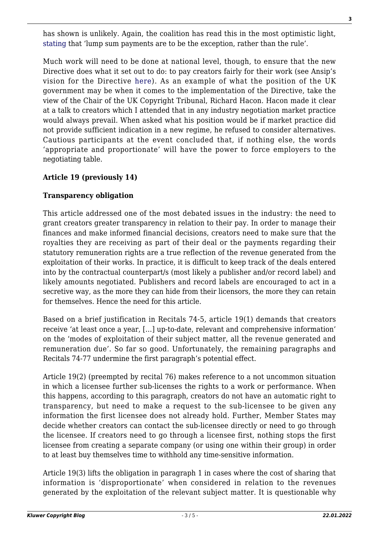has shown is unlikely. Again, the coalition has read this in the most optimistic light, [stating](https://www.fair-internet.eu/eu-parliament-adopts-copyright-directive-final-text/) that 'lump sum payments are to be the exception, rather than the rule'.

Much work will need to be done at national level, though, to ensure that the new Directive does what it set out to do: to pay creators fairly for their work (see Ansip's vision for the Directive [here](https://ec.europa.eu/commission/commissioners/2014-2019/ansip/blog/getting-digital-single-market-ground-next-steps-forward_en)). As an example of what the position of the UK government may be when it comes to the implementation of the Directive, take the view of the Chair of the UK Copyright Tribunal, Richard Hacon. Hacon made it clear at a talk to creators which I attended that in any industry negotiation market practice would always prevail. When asked what his position would be if market practice did not provide sufficient indication in a new regime, he refused to consider alternatives. Cautious participants at the event concluded that, if nothing else, the words 'appropriate and proportionate' will have the power to force employers to the negotiating table.

#### **Article 19 (previously 14)**

### **Transparency obligation**

This article addressed one of the most debated issues in the industry: the need to grant creators greater transparency in relation to their pay. In order to manage their finances and make informed financial decisions, creators need to make sure that the royalties they are receiving as part of their deal or the payments regarding their statutory remuneration rights are a true reflection of the revenue generated from the exploitation of their works. In practice, it is difficult to keep track of the deals entered into by the contractual counterpart/s (most likely a publisher and/or record label) and likely amounts negotiated. Publishers and record labels are encouraged to act in a secretive way, as the more they can hide from their licensors, the more they can retain for themselves. Hence the need for this article.

Based on a brief justification in Recitals 74-5, article 19(1) demands that creators receive 'at least once a year, […] up-to-date, relevant and comprehensive information' on the 'modes of exploitation of their subject matter, all the revenue generated and remuneration due'. So far so good. Unfortunately, the remaining paragraphs and Recitals 74-77 undermine the first paragraph's potential effect.

Article 19(2) (preempted by recital 76) makes reference to a not uncommon situation in which a licensee further sub-licenses the rights to a work or performance. When this happens, according to this paragraph, creators do not have an automatic right to transparency, but need to make a request to the sub-licensee to be given any information the first licensee does not already hold. Further, Member States may decide whether creators can contact the sub-licensee directly or need to go through the licensee. If creators need to go through a licensee first, nothing stops the first licensee from creating a separate company (or using one within their group) in order to at least buy themselves time to withhold any time-sensitive information.

Article 19(3) lifts the obligation in paragraph 1 in cases where the cost of sharing that information is 'disproportionate' when considered in relation to the revenues generated by the exploitation of the relevant subject matter. It is questionable why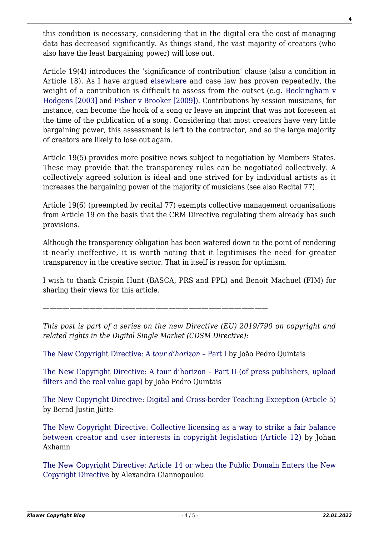this condition is necessary, considering that in the digital era the cost of managing data has decreased significantly. As things stand, the vast majority of creators (who also have the least bargaining power) will lose out.

Article 19(4) introduces the 'significance of contribution' clause (also a condition in Article 18). As I have argued [elsewhere](https://www.performerslegalrights.org/blog/2017/9/18/significance-of-contribution-in-article-14-of-the-ec-copyright-draft-proposal-or-why-the-imco-opinion-is-spot-on) and case law has proven repeatedly, the weight of a contribution is difficult to assess from the outset (e.g. [Beckingham v](https://www.bailii.org/ew/cases/EWCA/Civ/2003/143.html) [Hodgens \[2003\]](https://www.bailii.org/ew/cases/EWCA/Civ/2003/143.html) and [Fisher v Brooker \[2009\]](https://www.bailii.org/uk/cases/UKHL/2009/41.html)). Contributions by session musicians, for instance, can become the hook of a song or leave an imprint that was not foreseen at the time of the publication of a song. Considering that most creators have very little bargaining power, this assessment is left to the contractor, and so the large majority of creators are likely to lose out again.

Article 19(5) provides more positive news subject to negotiation by Members States. These may provide that the transparency rules can be negotiated collectively. A collectively agreed solution is ideal and one strived for by individual artists as it increases the bargaining power of the majority of musicians (see also Recital 77).

Article 19(6) (preempted by recital 77) exempts collective management organisations from Article 19 on the basis that the CRM Directive regulating them already has such provisions.

Although the transparency obligation has been watered down to the point of rendering it nearly ineffective, it is worth noting that it legitimises the need for greater transparency in the creative sector. That in itself is reason for optimism.

I wish to thank Crispin Hunt (BASCA, PRS and PPL) and Benoît Machuel (FIM) for sharing their views for this article.

*——————————————————————————————————*

*This post is part of a series on the new Directive (EU) 2019/790 on copyright and related rights in the Digital Single Market (CDSM Directive):*

[The New Copyright Directive: A](http://copyrightblog.kluweriplaw.com/2019/06/07/the-new-copyright-directive-a-tour-dhorizon-part-i/) *[tour d'horizon –](http://copyrightblog.kluweriplaw.com/2019/06/07/the-new-copyright-directive-a-tour-dhorizon-part-i/)* [Part I](http://copyrightblog.kluweriplaw.com/2019/06/07/the-new-copyright-directive-a-tour-dhorizon-part-i/) by João Pedro Quintais

[The New Copyright Directive: A tour d'horizon – Part II \(of press publishers, upload](http://copyrightblog.kluweriplaw.com/2019/06/17/the-new-copyright-directive-a-tour-dhorizon-part-ii-of-press-publishers-upload-filters-and-the-real-value-gap/) [filters and the real value gap\)](http://copyrightblog.kluweriplaw.com/2019/06/17/the-new-copyright-directive-a-tour-dhorizon-part-ii-of-press-publishers-upload-filters-and-the-real-value-gap/) by João Pedro Quintais

[The New Copyright Directive: Digital and Cross-border Teaching Exception \(Article 5\)](http://copyrightblog.kluweriplaw.com/2019/06/21/the-new-copyright-directive-digital-and-cross-border-teaching-exception-article-5/) by Bernd Justin Jütte

[The New Copyright Directive: Collective licensing as a way to strike a fair balance](http://copyrightblog.kluweriplaw.com/2019/06/25/the-new-copyright-directive-collective-licensing-as-a-way-to-strike-a-fair-balance-between-creator-and-user-interests-in-copyright-legislation-article-12/) [between creator and user interests in copyright legislation \(Article 12\)](http://copyrightblog.kluweriplaw.com/2019/06/25/the-new-copyright-directive-collective-licensing-as-a-way-to-strike-a-fair-balance-between-creator-and-user-interests-in-copyright-legislation-article-12/) by Johan Axhamn

[The New Copyright Directive: Article 14 or when the Public Domain Enters the New](http://copyrightblog.kluweriplaw.com/2019/06/27/the-new-copyright-directive-article-14-or-when-the-public-domain-enters-the-new-copyright-directive/) [Copyright Directive](http://copyrightblog.kluweriplaw.com/2019/06/27/the-new-copyright-directive-article-14-or-when-the-public-domain-enters-the-new-copyright-directive/) by Alexandra Giannopoulou